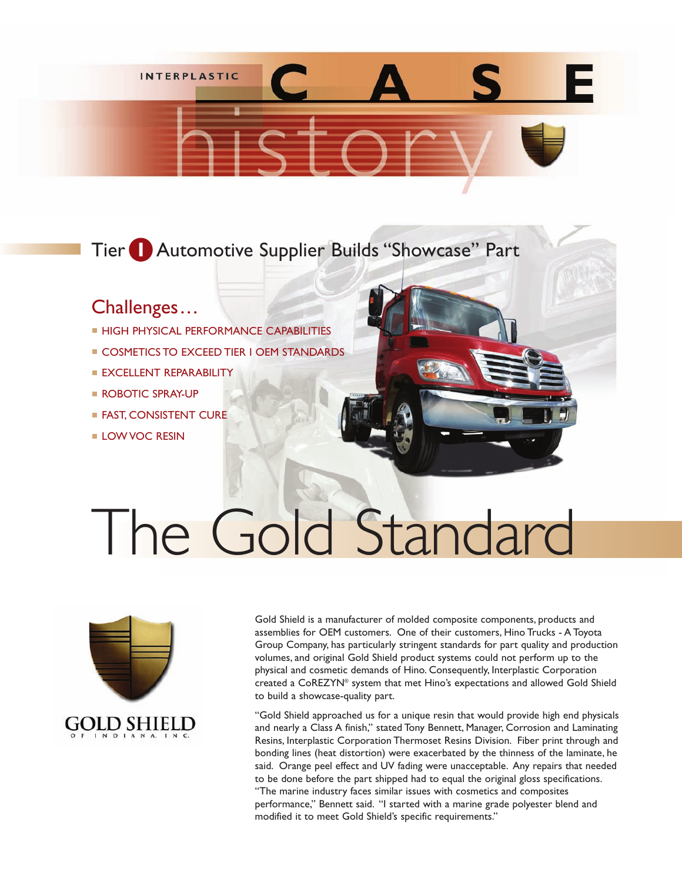

## Tier **I** Automotive Supplier Builds "Showcase" Part

## Challenges...

- **HIGH PHYSICAL PERFORMANCE CAPABILITIES**
- **COSMETICS TO EXCEED TIER I OEM STANDARDS**
- **EXCELLENT REPARABILITY**
- **ROBOTIC SPRAY-UP**
- **FAST, CONSISTENT CURE**
- **LOW VOC RESIN**

# The Gold Standard



Gold Shield is a manufacturer of molded composite components, products and assemblies for OEM customers. One of their customers, Hino Trucks - A Toyota Group Company, has particularly stringent standards for part quality and production volumes, and original Gold Shield product systems could not perform up to the physical and cosmetic demands of Hino. Consequently, Interplastic Corporation created a CoREZYN® system that met Hino's expectations and allowed Gold Shield to build a showcase-quality part.

"Gold Shield approached us for a unique resin that would provide high end physicals and nearly a Class A finish," stated Tony Bennett, Manager, Corrosion and Laminating Resins, Interplastic Corporation Thermoset Resins Division. Fiber print through and bonding lines (heat distortion) were exacerbated by the thinness of the laminate, he said. Orange peel effect and UV fading were unacceptable. Any repairs that needed to be done before the part shipped had to equal the original gloss specifications. "The marine industry faces similar issues with cosmetics and composites performance," Bennett said. "I started with a marine grade polyester blend and modified it to meet Gold Shield's specific requirements."